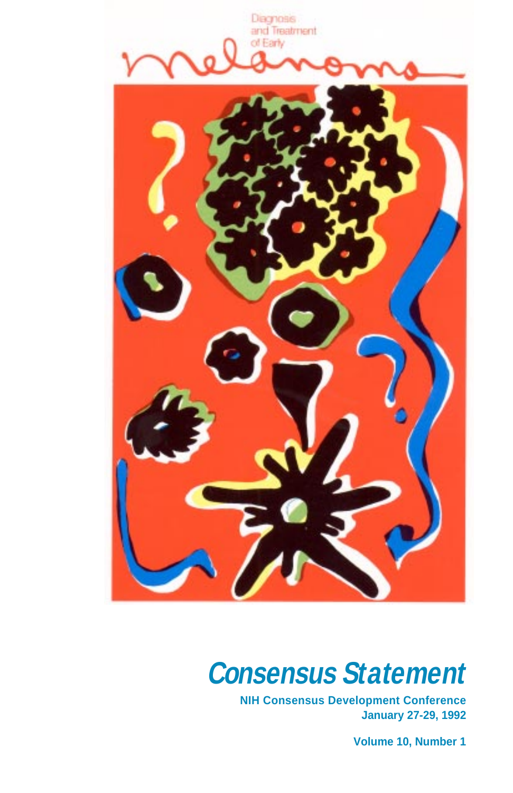<span id="page-0-0"></span>

# **Consensus Statement**

**NIH Consensus Development Conference January 27-29, 1992** 

**Volume 10, Number 1**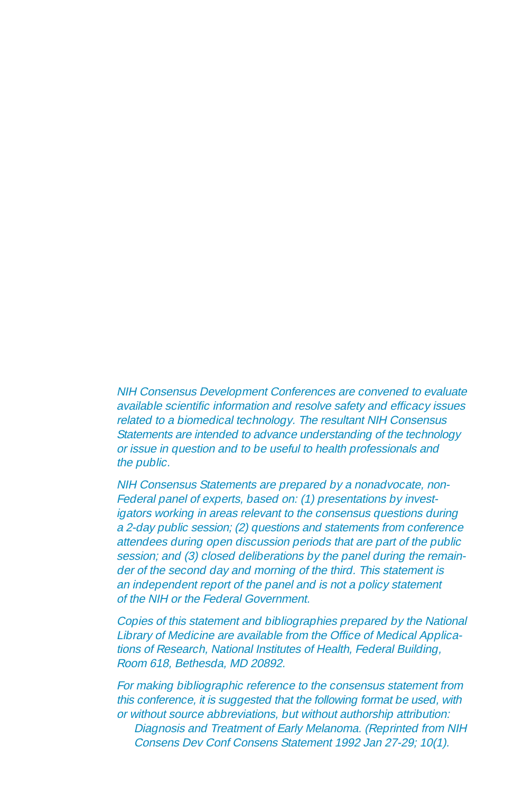NIH Consensus Development Conferences are convened to evaluate available scientific information and resolve safety and efficacy issues related to a biomedical technology. The resultant NIH Consensus Statements are intended to advance understanding of the technology or issue in question and to be useful to health professionals and the public.

NIH Consensus Statements are prepared by a nonadvocate, non-Federal panel of experts, based on: (1) presentations by investigators working in areas relevant to the consensus questions during a 2-day public session; (2) questions and statements from conference attendees during open discussion periods that are part of the public session; and (3) closed deliberations by the panel during the remainder of the second day and morning of the third. This statement is an independent report of the panel and is not a policy statement of the NIH or the Federal Government.

Copies of this statement and bibliographies prepared by the National Library of Medicine are available from the Office of Medical Applications of Research, National Institutes of Health, Federal Building, Room 618, Bethesda, MD 20892.

For making bibliographic reference to the consensus statement from this conference, it is suggested that the following format be used, with or without source abbreviations, but without authorship attribution: Diagnosis and Treatment of Early Melanoma. (Reprinted from NIH Consens Dev Conf Consens Statement 1992 Jan 27-29; 10(1).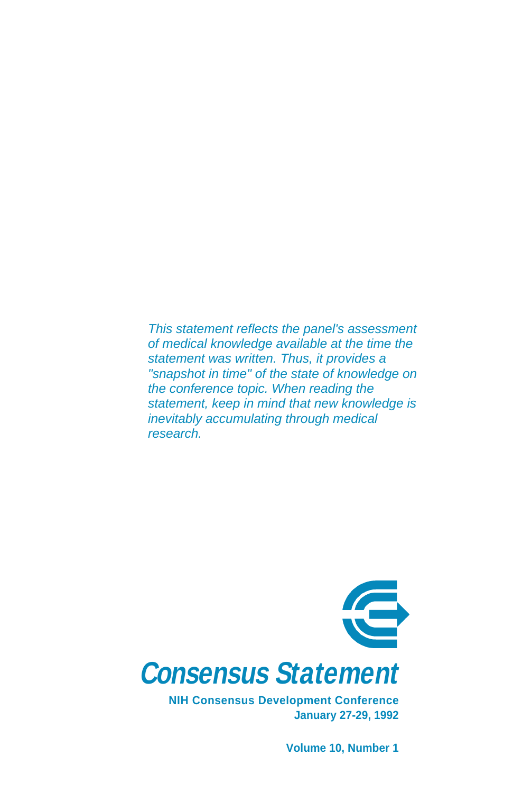This statement reflects the panel's assessment of medical knowledge available at the time the statement was written. Thus, it provides a "snapshot in time" of the state of knowledge on the conference topic. When reading the statement, keep in mind that new knowledge is inevitably accumulating through medical research.



**NIH Consensus Development Conference January 27-29, 1992** 

**[Volume 1](#page-0-0)0, Number 1**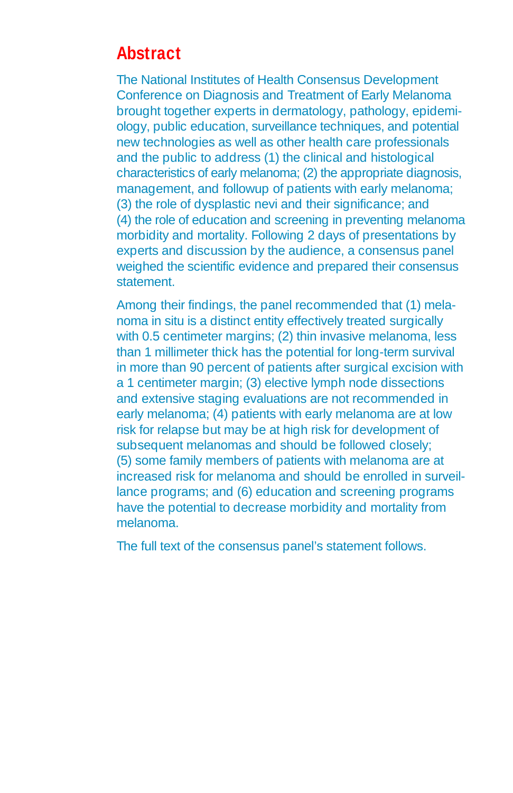# **Abstract**

The National Institutes of Health Consensus Development Conference on Diagnosis and Treatment of Early Melanoma brought together experts in dermatology, pathology, epidemiology, public education, surveillance techniques, and potential new technologies as well as other health care professionals and the public to address (1) the clinical and histological characteristics of early melanoma; (2) the appropriate diagnosis, management, and followup of patients with early melanoma; (3) the role of dysplastic nevi and their significance; and (4) the role of education and screening in preventing melanoma morbidity and mortality. Following 2 days of presentations by experts and discussion by the audience, a consensus panel weighed the scientific evidence and prepared their consensus statement.

Among their findings, the panel recommended that (1) melanoma in situ is a distinct entity effectively treated surgically with 0.5 centimeter margins; (2) thin invasive melanoma, less than 1 millimeter thick has the potential for long-term survival in more than 90 percent of patients after surgical excision with a 1 centimeter margin; (3) elective lymph node dissections and extensive staging evaluations are not recommended in early melanoma; (4) patients with early melanoma are at low risk for relapse but may be at high risk for development of subsequent melanomas and should be followed closely; (5) some family members of patients with melanoma are at increased risk for melanoma and should be enrolled in surveillance programs; and (6) education and screening programs have the potential to decrease morbidity and mortality from melanoma.

The full text of the consensus panel's statement follows.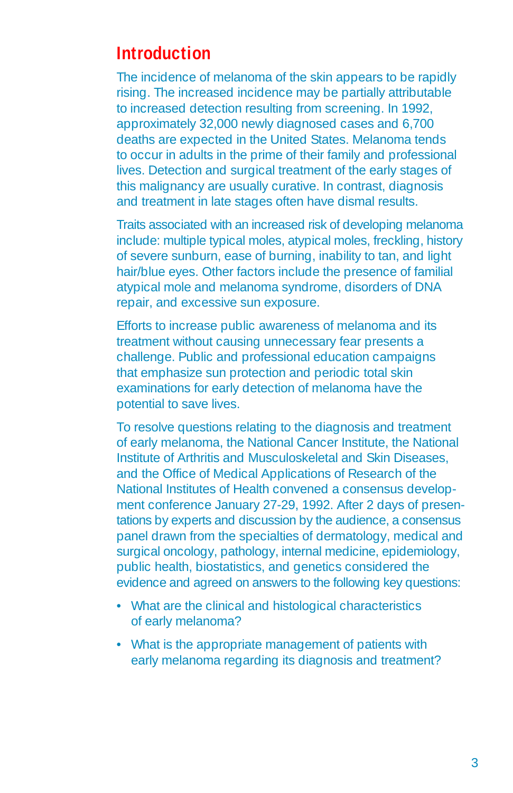# **Introduction**

The incidence of melanoma of the skin appears to be rapidly rising. The increased incidence may be partially attributable to increased detection resulting from screening. In 1992, approximately 32,000 newly diagnosed cases and 6,700 deaths are expected in the United States. Melanoma tends to occur in adults in the prime of their family and professional lives. Detection and surgical treatment of the early stages of this malignancy are usually curative. In contrast, diagnosis and treatment in late stages often have dismal results.

Traits associated with an increased risk of developing melanoma include: multiple typical moles, atypical moles, freckling, history of severe sunburn, ease of burning, inability to tan, and light hair/blue eyes. Other factors include the presence of familial atypical mole and melanoma syndrome, disorders of DNA repair, and excessive sun exposure.

Efforts to increase public awareness of melanoma and its treatment without causing unnecessary fear presents a challenge. Public and professional education campaigns that emphasize sun protection and periodic total skin examinations for early detection of melanoma have the potential to save lives.

To resolve questions relating to the diagnosis and treatment of early melanoma, the National Cancer Institute, the National Institute of Arthritis and Musculoskeletal and Skin Diseases, and the Office of Medical Applications of Research of the National Institutes of Health convened a consensus development conference January 27-29, 1992. After 2 days of presentations by experts and discussion by the audience, a consensus panel drawn from the specialties of dermatology, medical and surgical oncology, pathology, internal medicine, epidemiology, public health, biostatistics, and genetics considered the evidence and agreed on answers to the following key questions:

- What are the clinical and histological characteristics of early melanoma?
- What is the appropriate management of patients with early melanoma regarding its diagnosis and treatment?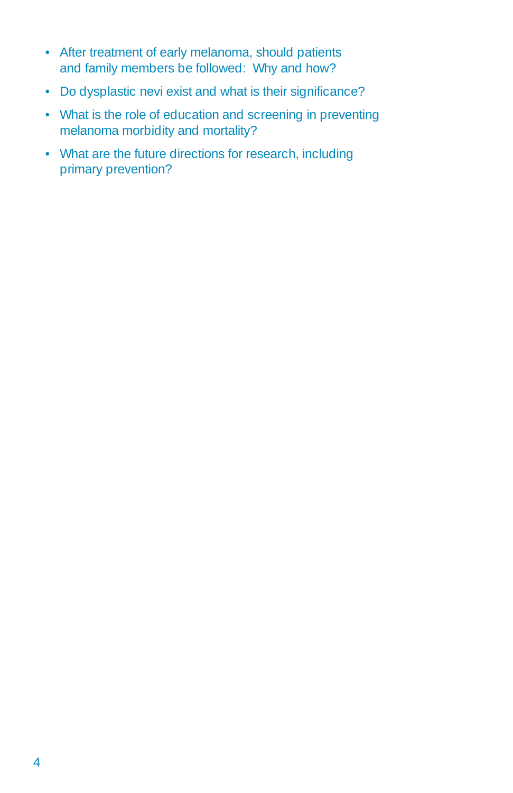- After treatment of early melanoma, should patients and family members be followed: Why and how?
- Do dysplastic nevi exist and what is their significance?
- What is the role of education and screening in preventing melanoma morbidity and mortality?
- What are the future directions for research, including primary prevention?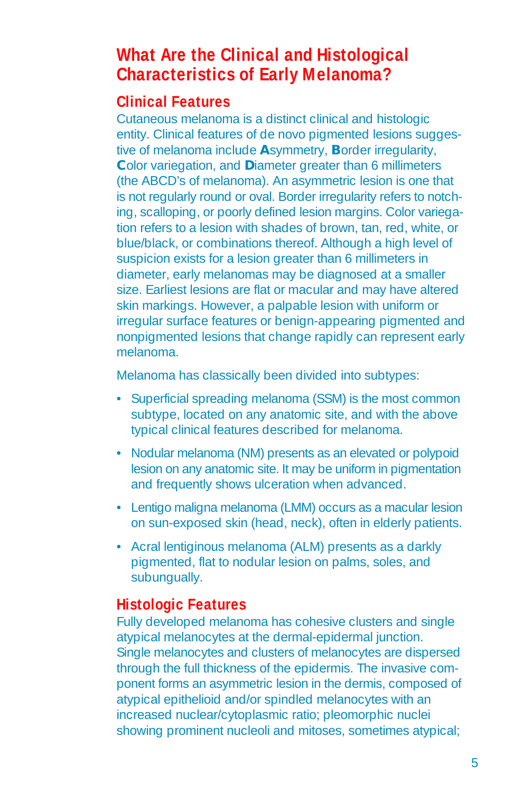# **What Are the Clinical and Histological Characteristics of Early Melanoma?**

# **Clinical Features**

Cutaneous melanoma is a distinct clinical and histologic entity. Clinical features of de novo pigmented lesions suggestive of melanoma include **A**symmetry, **B**order irregularity, **C**olor variegation, and **D**iameter greater than 6 millimeters (the ABCD's of melanoma). An asymmetric lesion is one that is not regularly round or oval. Border irregularity refers to notching, scalloping, or poorly defined lesion margins. Color variegation refers to a lesion with shades of brown, tan, red, white, or blue/black, or combinations thereof. Although a high level of suspicion exists for a lesion greater than 6 millimeters in diameter, early melanomas may be diagnosed at a smaller size. Earliest lesions are flat or macular and may have altered skin markings. However, a palpable lesion with uniform or irregular surface features or benign-appearing pigmented and nonpigmented lesions that change rapidly can represent early melanoma.

Melanoma has classically been divided into subtypes:

- Superficial spreading melanoma (SSM) is the most common subtype, located on any anatomic site, and with the above typical clinical features described for melanoma.
- Nodular melanoma (NM) presents as an elevated or polypoid lesion on any anatomic site. It may be uniform in pigmentation and frequently shows ulceration when advanced.
- Lentigo maligna melanoma (LMM) occurs as a macular lesion on sun-exposed skin (head, neck), often in elderly patients.
- Acral lentiginous melanoma (ALM) presents as a darkly pigmented, flat to nodular lesion on palms, soles, and subungually.

# **Histologic Features**

Fully developed melanoma has cohesive clusters and single atypical melanocytes at the dermal-epidermal junction. Single melanocytes and clusters of melanocytes are dispersed through the full thickness of the epidermis. The invasive component forms an asymmetric lesion in the dermis, composed of atypical epithelioid and/or spindled melanocytes with an increased nuclear/cytoplasmic ratio; pleomorphic nuclei showing prominent nucleoli and mitoses, sometimes atypical;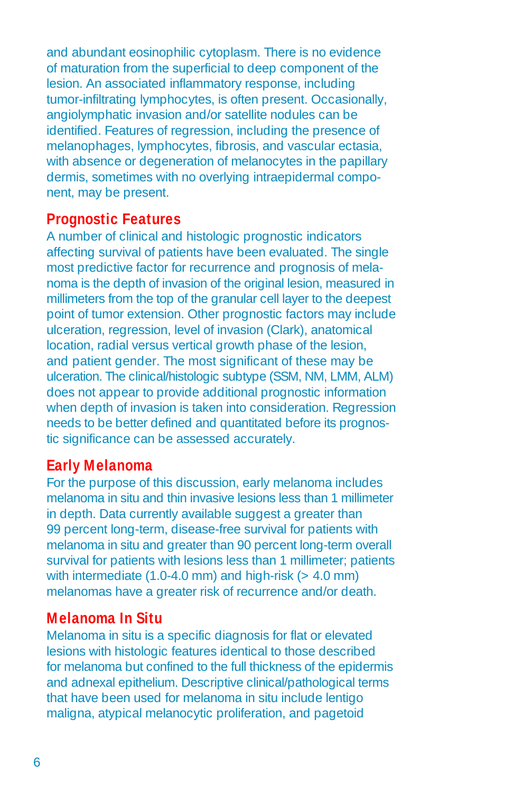and abundant eosinophilic cytoplasm. There is no evidence of maturation from the superficial to deep component of the lesion. An associated inflammatory response, including tumor-infiltrating lymphocytes, is often present. Occasionally, angiolymphatic invasion and/or satellite nodules can be identified. Features of regression, including the presence of melanophages, lymphocytes, fibrosis, and vascular ectasia, with absence or degeneration of melanocytes in the papillary dermis, sometimes with no overlying intraepidermal component, may be present.

### **Prognostic Features**

A number of clinical and histologic prognostic indicators affecting survival of patients have been evaluated. The single most predictive factor for recurrence and prognosis of melanoma is the depth of invasion of the original lesion, measured in millimeters from the top of the granular cell layer to the deepest point of tumor extension. Other prognostic factors may include ulceration, regression, level of invasion (Clark), anatomical location, radial versus vertical growth phase of the lesion, and patient gender. The most significant of these may be ulceration. The clinical/histologic subtype (SSM, NM, LMM, ALM) does not appear to provide additional prognostic information when depth of invasion is taken into consideration. Regression needs to be better defined and quantitated before its prognostic significance can be assessed accurately.

### **Early Melanoma**

For the purpose of this discussion, early melanoma includes melanoma in situ and thin invasive lesions less than 1 millimeter in depth. Data currently available suggest a greater than 99 percent long-term, disease-free survival for patients with melanoma in situ and greater than 90 percent long-term overall survival for patients with lesions less than 1 millimeter; patients with intermediate  $(1.0-4.0 \text{ mm})$  and high-risk  $(> 4.0 \text{ mm})$ melanomas have a greater risk of recurrence and/or death.

# **Melanoma In Situ**

Melanoma in situ is a specific diagnosis for flat or elevated lesions with histologic features identical to those described for melanoma but confined to the full thickness of the epidermis and adnexal epithelium. Descriptive clinical/pathological terms that have been used for melanoma in situ include lentigo maligna, atypical melanocytic proliferation, and pagetoid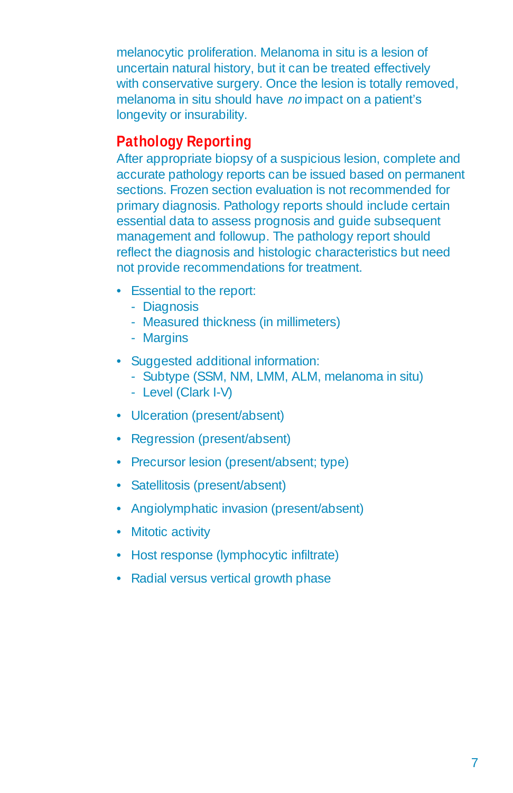melanocytic proliferation. Melanoma in situ is a lesion of uncertain natural history, but it can be treated effectively with conservative surgery. Once the lesion is totally removed, melanoma in situ should have no impact on a patient's longevity or insurability.

# **Pathology Reporting**

After appropriate biopsy of a suspicious lesion, complete and accurate pathology reports can be issued based on permanent sections. Frozen section evaluation is not recommended for primary diagnosis. Pathology reports should include certain essential data to assess prognosis and guide subsequent management and followup. The pathology report should reflect the diagnosis and histologic characteristics but need not provide recommendations for treatment.

- Essential to the report:
	- Diagnosis
	- Measured thickness (in millimeters)
	- Margins
- Suggested additional information:
	- Subtype (SSM, NM, LMM, ALM, melanoma in situ)
	- Level (Clark I-V)
- Ulceration (present/absent)
- Regression (present/absent)
- Precursor lesion (present/absent; type)
- Satellitosis (present/absent)
- Angiolymphatic invasion (present/absent)
- Mitotic activity
- Host response (lymphocytic infiltrate)
- Radial versus vertical growth phase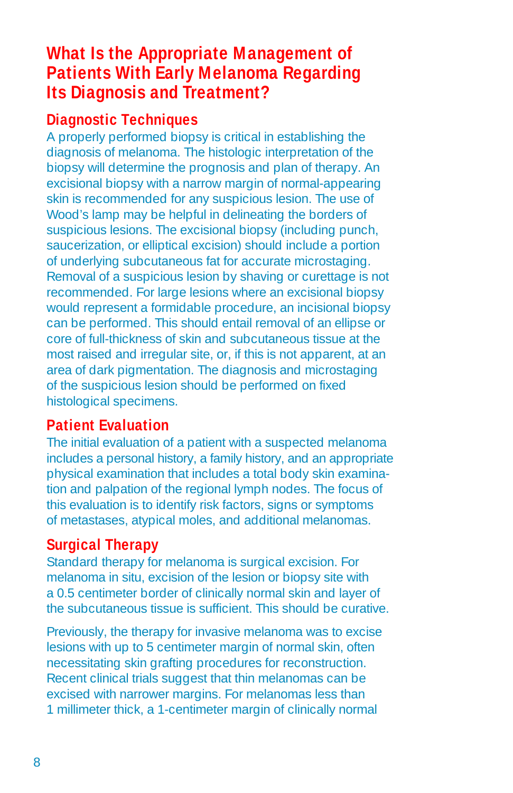# **What Is the Appropriate Management of Patients With Early Melanoma Regarding Its Diagnosis and Treatment?**

# **Diagnostic Techniques**

A properly performed biopsy is critical in establishing the diagnosis of melanoma. The histologic interpretation of the biopsy will determine the prognosis and plan of therapy. An excisional biopsy with a narrow margin of normal-appearing skin is recommended for any suspicious lesion. The use of Wood's lamp may be helpful in delineating the borders of suspicious lesions. The excisional biopsy (including punch, saucerization, or elliptical excision) should include a portion of underlying subcutaneous fat for accurate microstaging. Removal of a suspicious lesion by shaving or curettage is not recommended. For large lesions where an excisional biopsy would represent a formidable procedure, an incisional biopsy can be performed. This should entail removal of an ellipse or core of full-thickness of skin and subcutaneous tissue at the most raised and irregular site, or, if this is not apparent, at an area of dark pigmentation. The diagnosis and microstaging of the suspicious lesion should be performed on fixed histological specimens.

# **Patient Evaluation**

The initial evaluation of a patient with a suspected melanoma includes a personal history, a family history, and an appropriate physical examination that includes a total body skin examination and palpation of the regional lymph nodes. The focus of this evaluation is to identify risk factors, signs or symptoms of metastases, atypical moles, and additional melanomas.

# **Surgical Therapy**

Standard therapy for melanoma is surgical excision. For melanoma in situ, excision of the lesion or biopsy site with a 0.5 centimeter border of clinically normal skin and layer of the subcutaneous tissue is sufficient. This should be curative.

Previously, the therapy for invasive melanoma was to excise lesions with up to 5 centimeter margin of normal skin, often necessitating skin grafting procedures for reconstruction. Recent clinical trials suggest that thin melanomas can be excised with narrower margins. For melanomas less than 1 millimeter thick, a 1-centimeter margin of clinically normal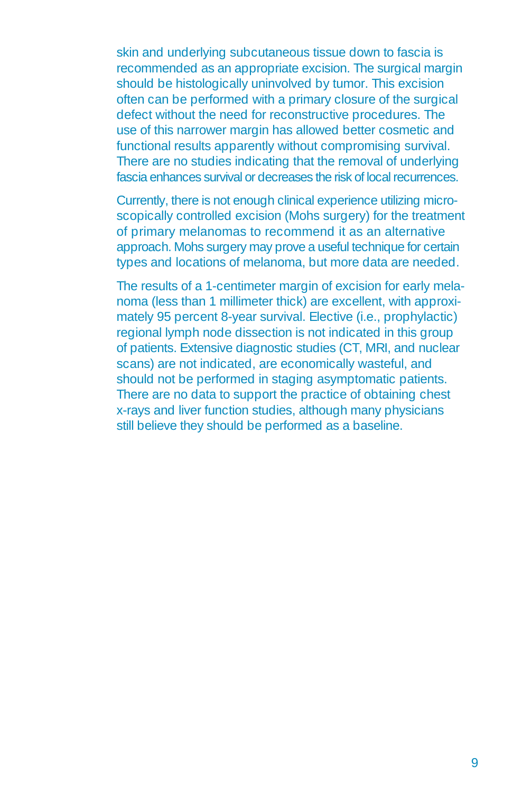skin and underlying subcutaneous tissue down to fascia is recommended as an appropriate excision. The surgical margin should be histologically uninvolved by tumor. This excision often can be performed with a primary closure of the surgical defect without the need for reconstructive procedures. The use of this narrower margin has allowed better cosmetic and functional results apparently without compromising survival. There are no studies indicating that the removal of underlying fascia enhances survival or decreases the risk of local recurrences.

Currently, there is not enough clinical experience utilizing microscopically controlled excision (Mohs surgery) for the treatment of primary melanomas to recommend it as an alternative approach. Mohs surgery may prove a useful technique for certain types and locations of melanoma, but more data are needed.

The results of a 1-centimeter margin of excision for early melanoma (less than 1 millimeter thick) are excellent, with approximately 95 percent 8-year survival. Elective (i.e., prophylactic) regional lymph node dissection is not indicated in this group of patients. Extensive diagnostic studies (CT, MRI, and nuclear scans) are not indicated, are economically wasteful, and should not be performed in staging asymptomatic patients. There are no data to support the practice of obtaining chest x-rays and liver function studies, although many physicians still believe they should be performed as a baseline.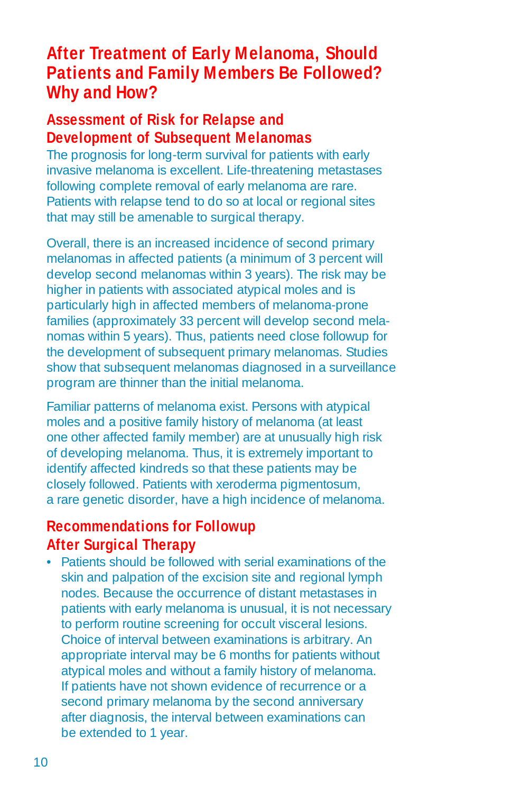# **After Treatment of Early Melanoma, Should Patients and Family Members Be Followed? Why and How?**

### **Assessment of Risk for Relapse and Development of Subsequent Melanomas**

The prognosis for long-term survival for patients with early invasive melanoma is excellent. Life-threatening metastases following complete removal of early melanoma are rare. Patients with relapse tend to do so at local or regional sites that may still be amenable to surgical therapy.

Overall, there is an increased incidence of second primary melanomas in affected patients (a minimum of 3 percent will develop second melanomas within 3 years). The risk may be higher in patients with associated atypical moles and is particularly high in affected members of melanoma-prone families (approximately 33 percent will develop second melanomas within 5 years). Thus, patients need close followup for the development of subsequent primary melanomas. Studies show that subsequent melanomas diagnosed in a surveillance program are thinner than the initial melanoma.

Familiar patterns of melanoma exist. Persons with atypical moles and a positive family history of melanoma (at least one other affected family member) are at unusually high risk of developing melanoma. Thus, it is extremely important to identify affected kindreds so that these patients may be closely followed. Patients with xeroderma pigmentosum, a rare genetic disorder, have a high incidence of melanoma.

# **Recommendations for Followup After Surgical Therapy**

• Patients should be followed with serial examinations of the skin and palpation of the excision site and regional lymph nodes. Because the occurrence of distant metastases in patients with early melanoma is unusual, it is not necessary to perform routine screening for occult visceral lesions. Choice of interval between examinations is arbitrary. An appropriate interval may be 6 months for patients without atypical moles and without a family history of melanoma. If patients have not shown evidence of recurrence or a second primary melanoma by the second anniversary after diagnosis, the interval between examinations can be extended to 1 year.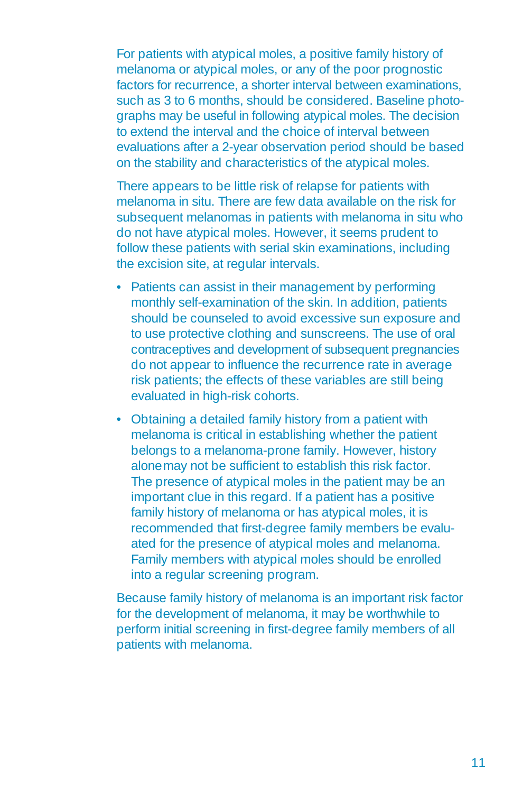For patients with atypical moles, a positive family history of melanoma or atypical moles, or any of the poor prognostic factors for recurrence, a shorter interval between examinations, such as 3 to 6 months, should be considered. Baseline photographs may be useful in following atypical moles. The decision to extend the interval and the choice of interval between evaluations after a 2-year observation period should be based on the stability and characteristics of the atypical moles.

There appears to be little risk of relapse for patients with melanoma in situ. There are few data available on the risk for subsequent melanomas in patients with melanoma in situ who do not have atypical moles. However, it seems prudent to follow these patients with serial skin examinations, including the excision site, at regular intervals.

- Patients can assist in their management by performing monthly self-examination of the skin. In addition, patients should be counseled to avoid excessive sun exposure and to use protective clothing and sunscreens. The use of oral contraceptives and development of subsequent pregnancies do not appear to influence the recurrence rate in average risk patients; the effects of these variables are still being evaluated in high-risk cohorts.
- Obtaining a detailed family history from a patient with melanoma is critical in establishing whether the patient belongs to a melanoma-prone family. However, history alonemay not be sufficient to establish this risk factor. The presence of atypical moles in the patient may be an important clue in this regard. If a patient has a positive family history of melanoma or has atypical moles, it is recommended that first-degree family members be evaluated for the presence of atypical moles and melanoma. Family members with atypical moles should be enrolled into a regular screening program.

Because family history of melanoma is an important risk factor for the development of melanoma, it may be worthwhile to perform initial screening in first-degree family members of all patients with melanoma.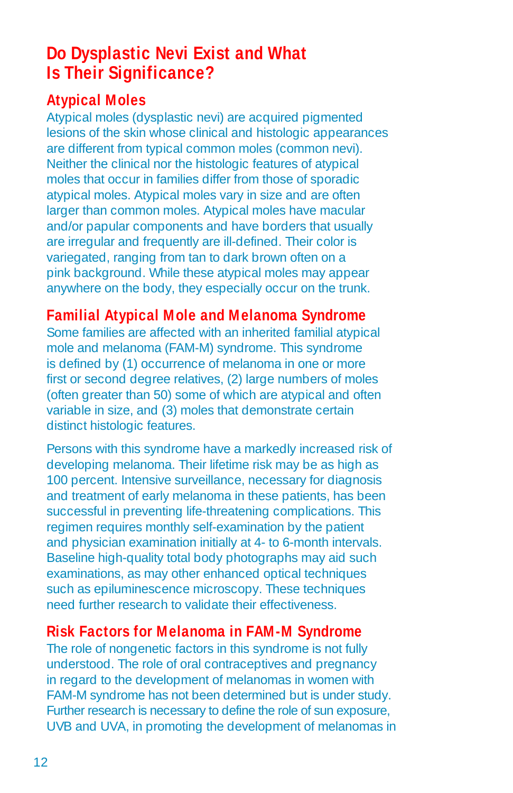# **Do Dysplastic Nevi Exist and What Is Their Significance?**

# **Atypical Moles**

Atypical moles (dysplastic nevi) are acquired pigmented lesions of the skin whose clinical and histologic appearances are different from typical common moles (common nevi). Neither the clinical nor the histologic features of atypical moles that occur in families differ from those of sporadic atypical moles. Atypical moles vary in size and are often larger than common moles. Atypical moles have macular and/or papular components and have borders that usually are irregular and frequently are ill-defined. Their color is variegated, ranging from tan to dark brown often on a pink background. While these atypical moles may appear anywhere on the body, they especially occur on the trunk.

# **Familial Atypical Mole and Melanoma Syndrome**

Some families are affected with an inherited familial atypical mole and melanoma (FAM-M) syndrome. This syndrome is defined by (1) occurrence of melanoma in one or more first or second degree relatives, (2) large numbers of moles (often greater than 50) some of which are atypical and often variable in size, and (3) moles that demonstrate certain distinct histologic features.

Persons with this syndrome have a markedly increased risk of developing melanoma. Their lifetime risk may be as high as 100 percent. Intensive surveillance, necessary for diagnosis and treatment of early melanoma in these patients, has been successful in preventing life-threatening complications. This regimen requires monthly self-examination by the patient and physician examination initially at 4- to 6-month intervals. Baseline high-quality total body photographs may aid such examinations, as may other enhanced optical techniques such as epiluminescence microscopy. These techniques need further research to validate their effectiveness.

# **Risk Factors for Melanoma in FAM-M Syndrome**

The role of nongenetic factors in this syndrome is not fully understood. The role of oral contraceptives and pregnancy in regard to the development of melanomas in women with FAM-M syndrome has not been determined but is under study. Further research is necessary to define the role of sun exposure, UVB and UVA, in promoting the development of melanomas in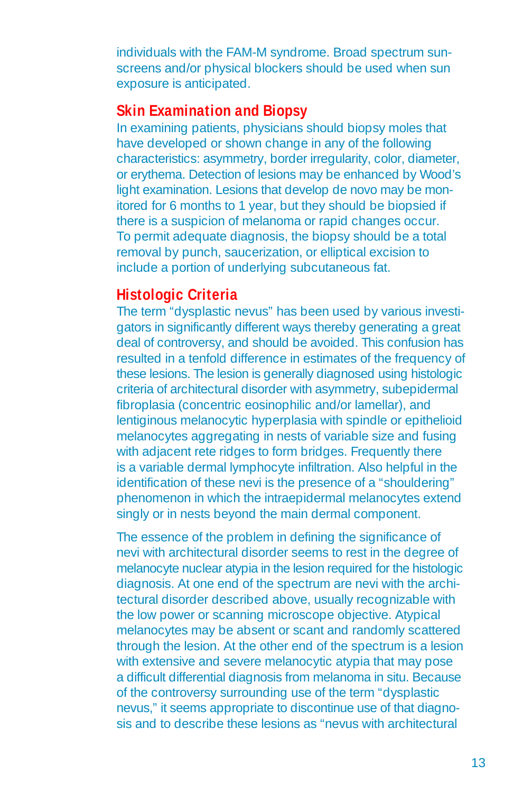individuals with the FAM-M syndrome. Broad spectrum sunscreens and/or physical blockers should be used when sun exposure is anticipated.

### **Skin Examination and Biopsy**

In examining patients, physicians should biopsy moles that have developed or shown change in any of the following characteristics: asymmetry, border irregularity, color, diameter, or erythema. Detection of lesions may be enhanced by Wood's light examination. Lesions that develop de novo may be monitored for 6 months to 1 year, but they should be biopsied if there is a suspicion of melanoma or rapid changes occur. To permit adequate diagnosis, the biopsy should be a total removal by punch, saucerization, or elliptical excision to include a portion of underlying subcutaneous fat.

# **Histologic Criteria**

The term "dysplastic nevus" has been used by various investigators in significantly different ways thereby generating a great deal of controversy, and should be avoided. This confusion has resulted in a tenfold difference in estimates of the frequency of these lesions. The lesion is generally diagnosed using histologic criteria of architectural disorder with asymmetry, subepidermal fibroplasia (concentric eosinophilic and/or lamellar), and lentiginous melanocytic hyperplasia with spindle or epithelioid melanocytes aggregating in nests of variable size and fusing with adjacent rete ridges to form bridges. Frequently there is a variable dermal lymphocyte infiltration. Also helpful in the identification of these nevi is the presence of a "shouldering" phenomenon in which the intraepidermal melanocytes extend singly or in nests beyond the main dermal component.

The essence of the problem in defining the significance of nevi with architectural disorder seems to rest in the degree of melanocyte nuclear atypia in the lesion required for the histologic diagnosis. At one end of the spectrum are nevi with the architectural disorder described above, usually recognizable with the low power or scanning microscope objective. Atypical melanocytes may be absent or scant and randomly scattered through the lesion. At the other end of the spectrum is a lesion with extensive and severe melanocytic atypia that may pose a difficult differential diagnosis from melanoma in situ. Because of the controversy surrounding use of the term "dysplastic nevus," it seems appropriate to discontinue use of that diagnosis and to describe these lesions as "nevus with architectural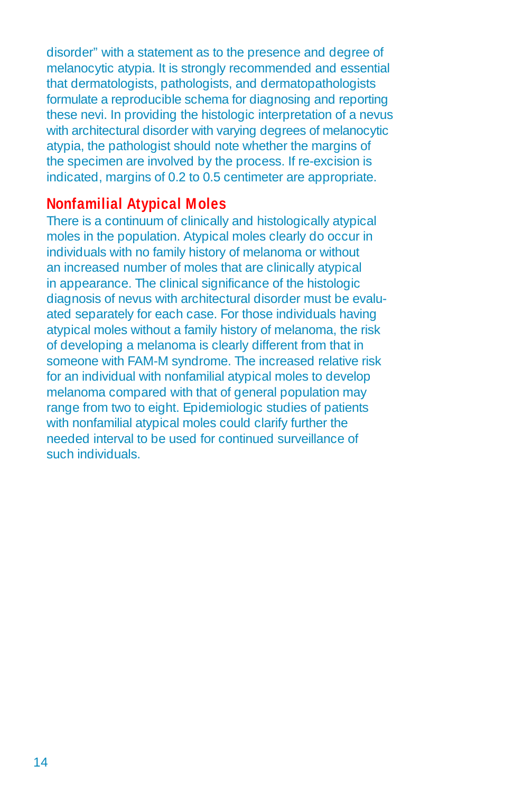disorder" with a statement as to the presence and degree of melanocytic atypia. It is strongly recommended and essential that dermatologists, pathologists, and dermatopathologists formulate a reproducible schema for diagnosing and reporting these nevi. In providing the histologic interpretation of a nevus with architectural disorder with varying degrees of melanocytic atypia, the pathologist should note whether the margins of the specimen are involved by the process. If re-excision is indicated, margins of 0.2 to 0.5 centimeter are appropriate.

### **Nonfamilial Atypical Moles**

There is a continuum of clinically and histologically atypical moles in the population. Atypical moles clearly do occur in individuals with no family history of melanoma or without an increased number of moles that are clinically atypical in appearance. The clinical significance of the histologic diagnosis of nevus with architectural disorder must be evaluated separately for each case. For those individuals having atypical moles without a family history of melanoma, the risk of developing a melanoma is clearly different from that in someone with FAM-M syndrome. The increased relative risk for an individual with nonfamilial atypical moles to develop melanoma compared with that of general population may range from two to eight. Epidemiologic studies of patients with nonfamilial atypical moles could clarify further the needed interval to be used for continued surveillance of such individuals.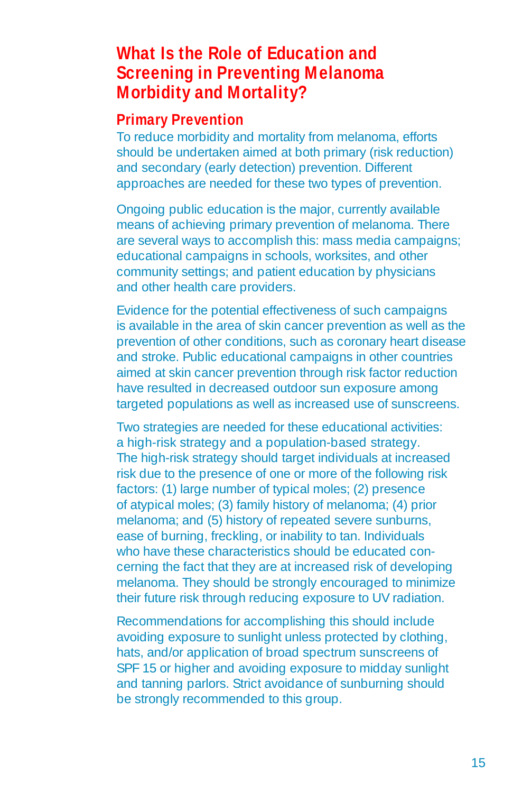# **What Is the Role of Education and Screening in Preventing Melanoma Morbidity and Mortality?**

### **Primary Prevention**

To reduce morbidity and mortality from melanoma, efforts should be undertaken aimed at both primary (risk reduction) and secondary (early detection) prevention. Different approaches are needed for these two types of prevention.

Ongoing public education is the major, currently available means of achieving primary prevention of melanoma. There are several ways to accomplish this: mass media campaigns; educational campaigns in schools, worksites, and other community settings; and patient education by physicians and other health care providers.

Evidence for the potential effectiveness of such campaigns is available in the area of skin cancer prevention as well as the prevention of other conditions, such as coronary heart disease and stroke. Public educational campaigns in other countries aimed at skin cancer prevention through risk factor reduction have resulted in decreased outdoor sun exposure among targeted populations as well as increased use of sunscreens.

Two strategies are needed for these educational activities: a high-risk strategy and a population-based strategy. The high-risk strategy should target individuals at increased risk due to the presence of one or more of the following risk factors: (1) large number of typical moles; (2) presence of atypical moles; (3) family history of melanoma; (4) prior melanoma; and (5) history of repeated severe sunburns, ease of burning, freckling, or inability to tan. Individuals who have these characteristics should be educated concerning the fact that they are at increased risk of developing melanoma. They should be strongly encouraged to minimize their future risk through reducing exposure to UV radiation.

Recommendations for accomplishing this should include avoiding exposure to sunlight unless protected by clothing, hats, and/or application of broad spectrum sunscreens of SPF 15 or higher and avoiding exposure to midday sunlight and tanning parlors. Strict avoidance of sunburning should be strongly recommended to this group.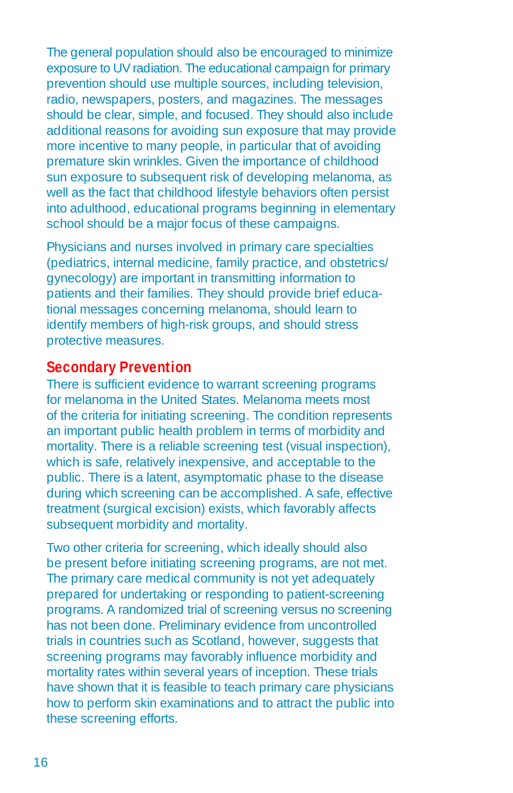The general population should also be encouraged to minimize exposure to UV radiation. The educational campaign for primary prevention should use multiple sources, including television, radio, newspapers, posters, and magazines. The messages should be clear, simple, and focused. They should also include additional reasons for avoiding sun exposure that may provide more incentive to many people, in particular that of avoiding premature skin wrinkles. Given the importance of childhood sun exposure to subsequent risk of developing melanoma, as well as the fact that childhood lifestyle behaviors often persist into adulthood, educational programs beginning in elementary school should be a major focus of these campaigns.

Physicians and nurses involved in primary care specialties (pediatrics, internal medicine, family practice, and obstetrics/ gynecology) are important in transmitting information to patients and their families. They should provide brief educational messages concerning melanoma, should learn to identify members of high-risk groups, and should stress protective measures.

### **Secondary Prevention**

There is sufficient evidence to warrant screening programs for melanoma in the United States. Melanoma meets most of the criteria for initiating screening. The condition represents an important public health problem in terms of morbidity and mortality. There is a reliable screening test (visual inspection), which is safe, relatively inexpensive, and acceptable to the public. There is a latent, asymptomatic phase to the disease during which screening can be accomplished. A safe, effective treatment (surgical excision) exists, which favorably affects subsequent morbidity and mortality.

Two other criteria for screening, which ideally should also be present before initiating screening programs, are not met. The primary care medical community is not yet adequately prepared for undertaking or responding to patient-screening programs. A randomized trial of screening versus no screening has not been done. Preliminary evidence from uncontrolled trials in countries such as Scotland, however, suggests that screening programs may favorably influence morbidity and mortality rates within several years of inception. These trials have shown that it is feasible to teach primary care physicians how to perform skin examinations and to attract the public into these screening efforts.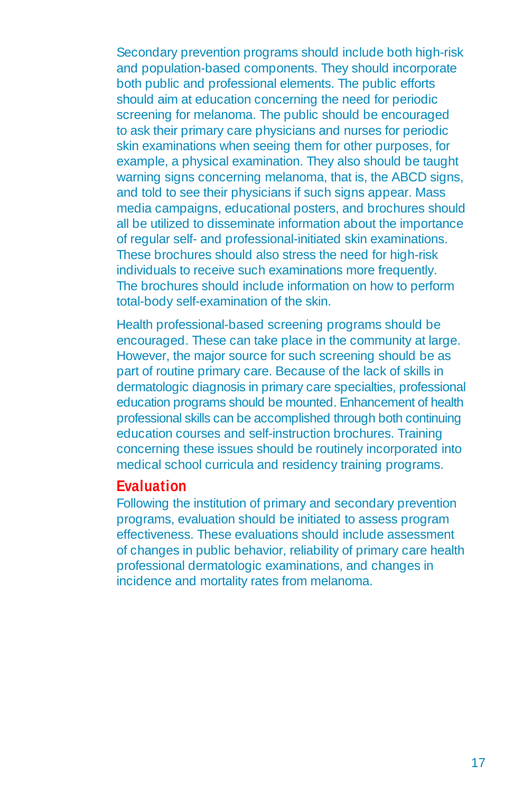Secondary prevention programs should include both high-risk and population-based components. They should incorporate both public and professional elements. The public efforts should aim at education concerning the need for periodic screening for melanoma. The public should be encouraged to ask their primary care physicians and nurses for periodic skin examinations when seeing them for other purposes, for example, a physical examination. They also should be taught warning signs concerning melanoma, that is, the ABCD signs, and told to see their physicians if such signs appear. Mass media campaigns, educational posters, and brochures should all be utilized to disseminate information about the importance of regular self- and professional-initiated skin examinations. These brochures should also stress the need for high-risk individuals to receive such examinations more frequently. The brochures should include information on how to perform total-body self-examination of the skin.

Health professional-based screening programs should be encouraged. These can take place in the community at large. However, the major source for such screening should be as part of routine primary care. Because of the lack of skills in dermatologic diagnosis in primary care specialties, professional education programs should be mounted. Enhancement of health professional skills can be accomplished through both continuing education courses and self-instruction brochures. Training concerning these issues should be routinely incorporated into medical school curricula and residency training programs.

### **Evaluation**

Following the institution of primary and secondary prevention programs, evaluation should be initiated to assess program effectiveness. These evaluations should include assessment of changes in public behavior, reliability of primary care health professional dermatologic examinations, and changes in incidence and mortality rates from melanoma.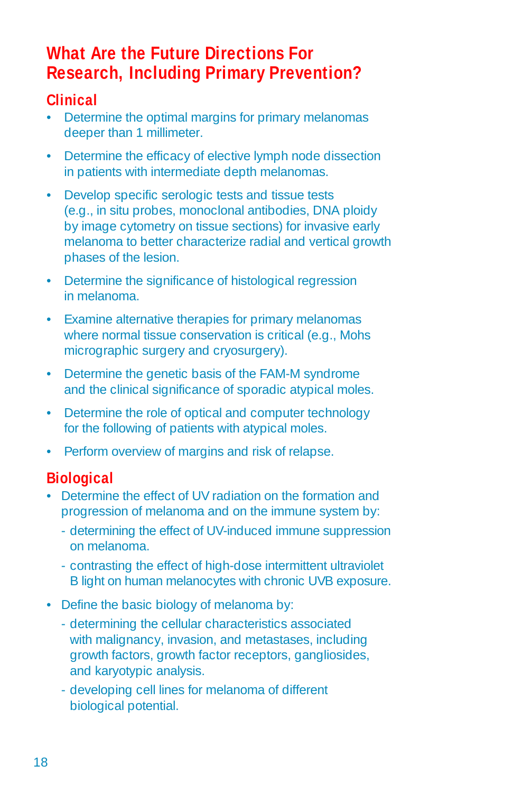# **What Are the Future Directions For Research, Including Primary Prevention?**

# **Clinical**

- Determine the optimal margins for primary melanomas deeper than 1 millimeter.
- Determine the efficacy of elective lymph node dissection in patients with intermediate depth melanomas.
- • Develop specific serologic tests and tissue tests (e.g., in situ probes, monoclonal antibodies, DNA ploidy by image cytometry on tissue sections) for invasive early melanoma to better characterize radial and vertical growth phases of the lesion.
- Determine the significance of histological regression in melanoma.
- Examine alternative therapies for primary melanomas where normal tissue conservation is critical (e.g., Mohs micrographic surgery and cryosurgery).
- Determine the genetic basis of the FAM-M syndrome and the clinical significance of sporadic atypical moles.
- Determine the role of optical and computer technology for the following of patients with atypical moles.
- Perform overview of margins and risk of relapse.

# **Biological**

- Determine the effect of UV radiation on the formation and progression of melanoma and on the immune system by:
	- determining the effect of UV-induced immune suppression on melanoma.
	- contrasting the effect of high-dose intermittent ultraviolet B light on human melanocytes with chronic UVB exposure.
- Define the basic biology of melanoma by:
	- determining the cellular characteristics associated with malignancy, invasion, and metastases, including growth factors, growth factor receptors, gangliosides, and karyotypic analysis.
	- developing cell lines for melanoma of different biological potential.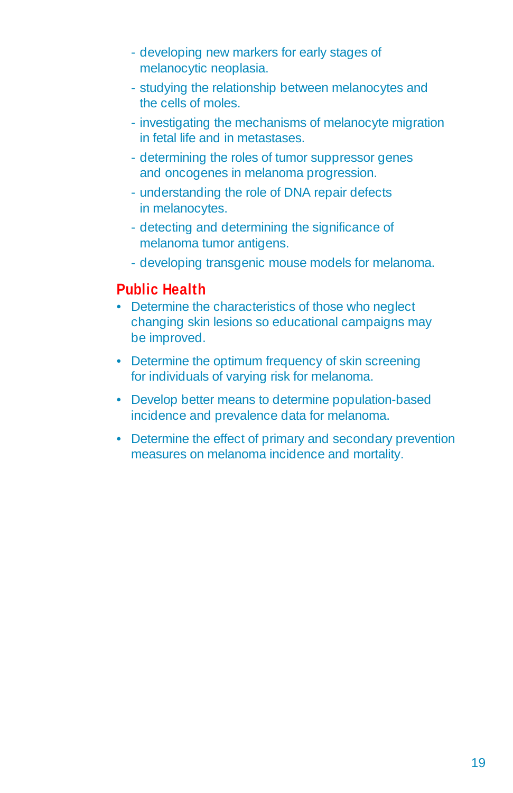- developing new markers for early stages of melanocytic neoplasia.
- studying the relationship between melanocytes and the cells of moles.
- investigating the mechanisms of melanocyte migration in fetal life and in metastases.
- determining the roles of tumor suppressor genes and oncogenes in melanoma progression.
- understanding the role of DNA repair defects in melanocytes.
- detecting and determining the significance of melanoma tumor antigens.
- developing transgenic mouse models for melanoma.

### **Public Health**

- Determine the characteristics of those who neglect changing skin lesions so educational campaigns may be improved.
- Determine the optimum frequency of skin screening for individuals of varying risk for melanoma.
- Develop better means to determine population-based incidence and prevalence data for melanoma.
- Determine the effect of primary and secondary prevention measures on melanoma incidence and mortality.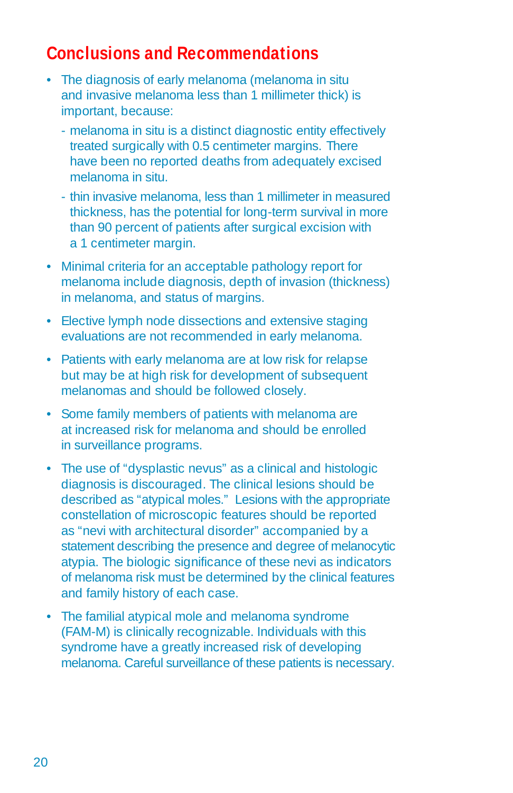# **Conclusions and Recommendations**

- The diagnosis of early melanoma (melanoma in situ and invasive melanoma less than 1 millimeter thick) is important, because:
	- melanoma in situ is a distinct diagnostic entity effectively treated surgically with 0.5 centimeter margins. There have been no reported deaths from adequately excised melanoma in situ.
	- thin invasive melanoma, less than 1 millimeter in measured thickness, has the potential for long-term survival in more than 90 percent of patients after surgical excision with a 1 centimeter margin.
- Minimal criteria for an acceptable pathology report for melanoma include diagnosis, depth of invasion (thickness) in melanoma, and status of margins.
- Elective lymph node dissections and extensive staging evaluations are not recommended in early melanoma.
- Patients with early melanoma are at low risk for relapse but may be at high risk for development of subsequent melanomas and should be followed closely.
- Some family members of patients with melanoma are at increased risk for melanoma and should be enrolled in surveillance programs.
- The use of "dysplastic nevus" as a clinical and histologic diagnosis is discouraged. The clinical lesions should be described as "atypical moles." Lesions with the appropriate constellation of microscopic features should be reported as "nevi with architectural disorder" accompanied by a statement describing the presence and degree of melanocytic atypia. The biologic significance of these nevi as indicators of melanoma risk must be determined by the clinical features and family history of each case.
- The familial atypical mole and melanoma syndrome (FAM-M) is clinically recognizable. Individuals with this syndrome have a greatly increased risk of developing melanoma. Careful surveillance of these patients is necessary.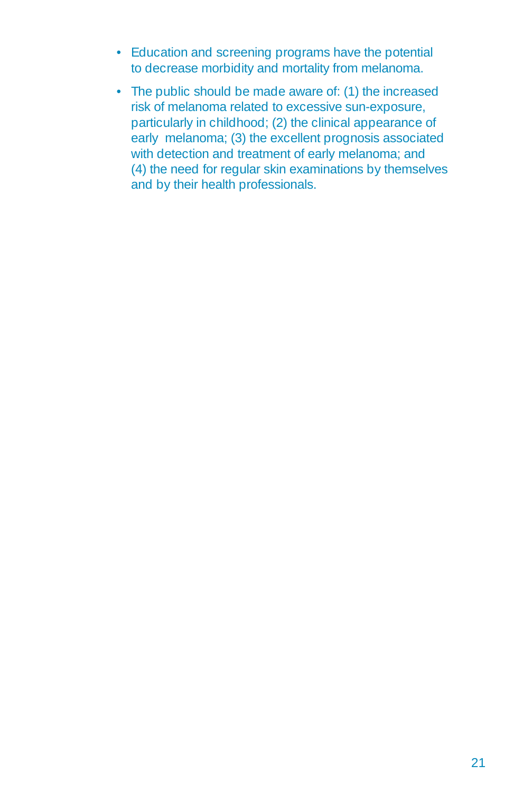- Education and screening programs have the potential to decrease morbidity and mortality from melanoma.
- The public should be made aware of: (1) the increased risk of melanoma related to excessive sun-exposure, particularly in childhood; (2) the clinical appearance of early melanoma; (3) the excellent prognosis associated with detection and treatment of early melanoma; and (4) the need for regular skin examinations by themselves and by their health professionals.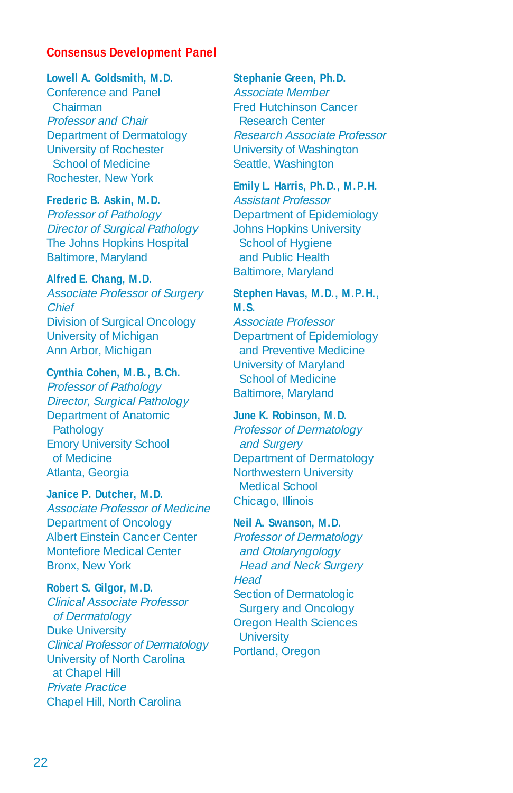#### **Consensus Development Panel**

#### **Lowell A. Goldsmith, M.D.**

Conference and Panel Chairman Professor and Chair Department of Dermatology University of Rochester School of Medicine Rochester, New York

#### **Frederic B. Askin, M.D.**

Professor of Pathology Director of Surgical Pathology The Johns Hopkins Hospital Baltimore, Maryland

#### **Alfred E. Chang, M.D.**

Associate Professor of Surgery Chief Division of Surgical Oncology University of Michigan Ann Arbor, Michigan

#### **Cynthia Cohen, M.B., B.Ch.**

Professor of Pathology Director, Surgical Pathology Department of Anatomic Pathology Emory University School of Medicine Atlanta, Georgia

#### **Janice P. Dutcher, M.D.**

Associate Professor of Medicine Department of Oncology Albert Einstein Cancer Center Montefiore Medical Center Bronx, New York

**Robert S. Gilgor, M.D.**  Clinical Associate Professor of Dermatology Duke University Clinical Professor of Dermatology University of North Carolina at Chapel Hill Private Practice Chapel Hill, North Carolina

#### **Stephanie Green, Ph.D.**

Associate Member Fred Hutchinson Cancer Research Center Research Associate Professor University of Washington Seattle, Washington

#### **Emily L. Harris, Ph.D., M.P.H.**

Assistant Professor Department of Epidemiology Johns Hopkins University School of Hygiene and Public Health Baltimore, Maryland

#### **Stephen Havas, M.D., M.P.H., M.S.**

Associate Professor Department of Epidemiology and Preventive Medicine University of Maryland School of Medicine Baltimore, Maryland

#### **June K. Robinson, M.D.**

Professor of Dermatology and Surgery Department of Dermatology Northwestern University Medical School Chicago, Illinois

#### **Neil A. Swanson, M.D.**

Professor of Dermatology and Otolaryngology Head and Neck Surgery **Head** Section of Dermatologic Surgery and Oncology Oregon Health Sciences **University** Portland, Oregon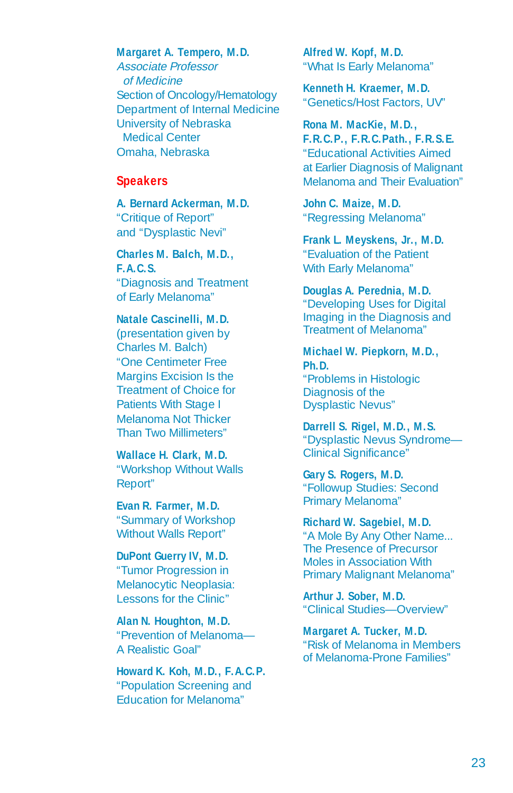#### **Margaret A. Tempero, M.D.**

Associate Professor of Medicine Section of Oncology/Hematology Department of Internal Medicine University of Nebraska Medical Center Omaha, Nebraska

#### **Speakers**

**A. Bernard Ackerman, M.D.**  "Critique of Report" and "Dysplastic Nevi"

**Charles M. Balch, M.D., F.A.C.S.**  "Diagnosis and Treatment

of Early Melanoma" **Natale Cascinelli, M.D.** 

#### (presentation given by Charles M. Balch) "One Centimeter Free Margins Excision Is the Treatment of Choice for Patients With Stage I Melanoma Not Thicker Than Two Millimeters"

**Wallace H. Clark, M.D.**  "Workshop Without Walls Report"

**Evan R. Farmer, M.D.**  "Summary of Workshop Without Walls Report"

#### **DuPont Guerry IV, M.D.**  "Tumor Progression in Melanocytic Neoplasia: Lessons for the Clinic"

**Alan N. Houghton, M.D.**  "Prevention of Melanoma— A Realistic Goal"

**Howard K. Koh, M.D., F.A.C.P.**  "Population Screening and Education for Melanoma"

**Alfred W. Kopf, M.D.**  "What Is Early Melanoma"

**Kenneth H. Kraemer, M.D.**  "Genetics/Host Factors, UV"

**Rona M. MacKie, M.D., F.R.C.P., F.R.C.Path., F.R.S.E.**  "Educational Activities Aimed at Earlier Diagnosis of Malignant Melanoma and Their Evaluation"

**John C. Maize, M.D.**  "Regressing Melanoma"

**Frank L. Meyskens, Jr., M.D.**  "Evaluation of the Patient With Early Melanoma"

#### **Douglas A. Perednia, M.D.**

"Developing Uses for Digital Imaging in the Diagnosis and Treatment of Melanoma"

#### **Michael W. Piepkorn, M.D., Ph.D.**  "Problems in Histologic Diagnosis of the Dysplastic Nevus"

**Darrell S. Rigel, M.D., M.S.**  "Dysplastic Nevus Syndrome— Clinical Significance"

**Gary S. Rogers, M.D.**  "Followup Studies: Second Primary Melanoma"

#### **Richard W. Sagebiel, M.D.**

"A Mole By Any Other Name... The Presence of Precursor Moles in Association With Primary Malignant Melanoma"

**Arthur J. Sober, M.D.**  "Clinical Studies—Overview"

**Margaret A. Tucker, M.D.**  "Risk of Melanoma in Members of Melanoma-Prone Families"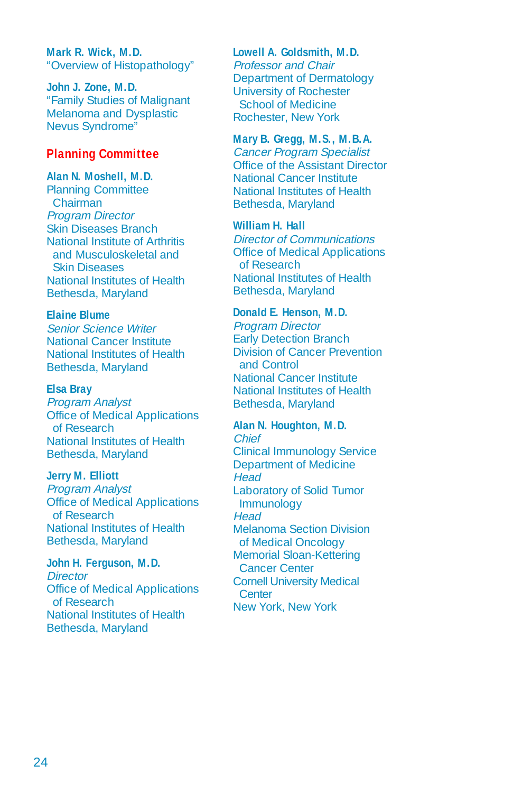**Mark R. Wick, M.D.**  "Overview of Histopathology"

**John J. Zone, M.D.**  "Family Studies of Malignant Melanoma and Dysplastic Nevus Syndrome"

#### **Planning Committee**

#### **Alan N. Moshell, M.D.**

Planning Committee Chairman Program Director Skin Diseases Branch National Institute of Arthritis and Musculoskeletal and Skin Diseases National Institutes of Health Bethesda, Maryland

#### **Elaine Blume**

Senior Science Writer National Cancer Institute National Institutes of Health Bethesda, Maryland

#### **Elsa Bray**

Program Analyst Office of Medical Applications of Research National Institutes of Health Bethesda, Maryland

#### **Jerry M. Elliott**

Program Analyst Office of Medical Applications of Research National Institutes of Health Bethesda, Maryland

#### **John H. Ferguson, M.D.**

**Director** Office of Medical Applications of Research National Institutes of Health Bethesda, Maryland

#### **Lowell A. Goldsmith, M.D.**

Professor and Chair Department of Dermatology University of Rochester School of Medicine Rochester, New York

#### **Mary B. Gregg, M.S., M.B.A.**

Cancer Program Specialist Office of the Assistant Director National Cancer Institute National Institutes of Health Bethesda, Maryland

#### **William H. Hall**

Director of Communications Office of Medical Applications of Research National Institutes of Health Bethesda, Maryland

#### **Donald E. Henson, M.D.**

Program Director Early Detection Branch Division of Cancer Prevention and Control National Cancer Institute National Institutes of Health Bethesda, Maryland

#### **Alan N. Houghton, M.D.**

Chief Clinical Immunology Service Department of Medicine **Head** Laboratory of Solid Tumor Immunology **Head** Melanoma Section Division of Medical Oncology Memorial Sloan-Kettering Cancer Center Cornell University Medical **Center** New York, New York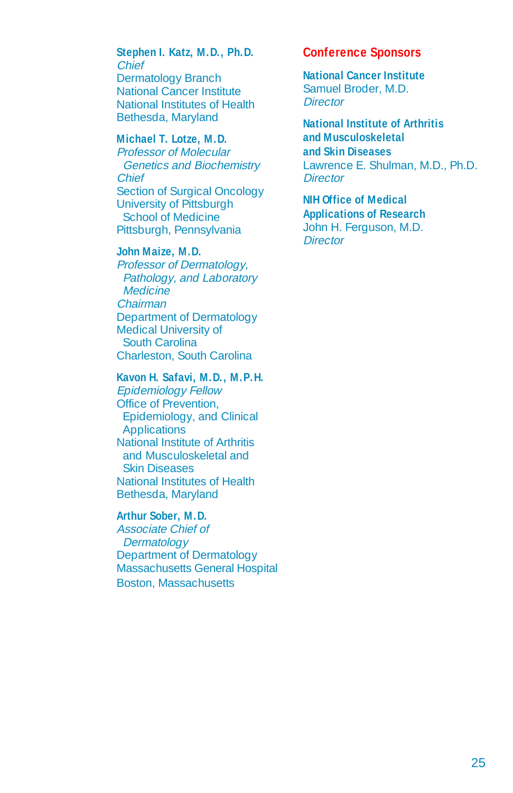#### **Stephen I. Katz, M.D., Ph.D.**  Chief

Dermatology Branch National Cancer Institute National Institutes of Health Bethesda, Maryland

#### **Michael T. Lotze, M.D.**

Professor of Molecular Genetics and Biochemistry **Chief** Section of Surgical Oncology University of Pittsburgh School of Medicine Pittsburgh, Pennsylvania

#### **John Maize, M.D.**

Professor of Dermatology, Pathology, and Laboratory **Medicine** Chairman Department of Dermatology Medical University of South Carolina Charleston, South Carolina

#### **Kavon H. Safavi, M.D., M.P.H.**

Epidemiology Fellow Office of Prevention, Epidemiology, and Clinical Applications National Institute of Arthritis and Musculoskeletal and Skin Diseases National Institutes of Health Bethesda, Maryland

#### **Arthur Sober, M.D.**

Associate Chief of **Dermatology** Department of Dermatology Massachusetts General Hospital Boston, Massachusetts

#### **Conference Sponsors**

**National Cancer Institute**  Samuel Broder, M.D. **Director** 

#### **National Institute of Arthritis and Musculoskeletal and Skin Diseases**  Lawrence E. Shulman, M.D., Ph.D.

**Director** 

### **NIH Office of Medical Applications of Research**

John H. Ferguson, M.D. **Director**